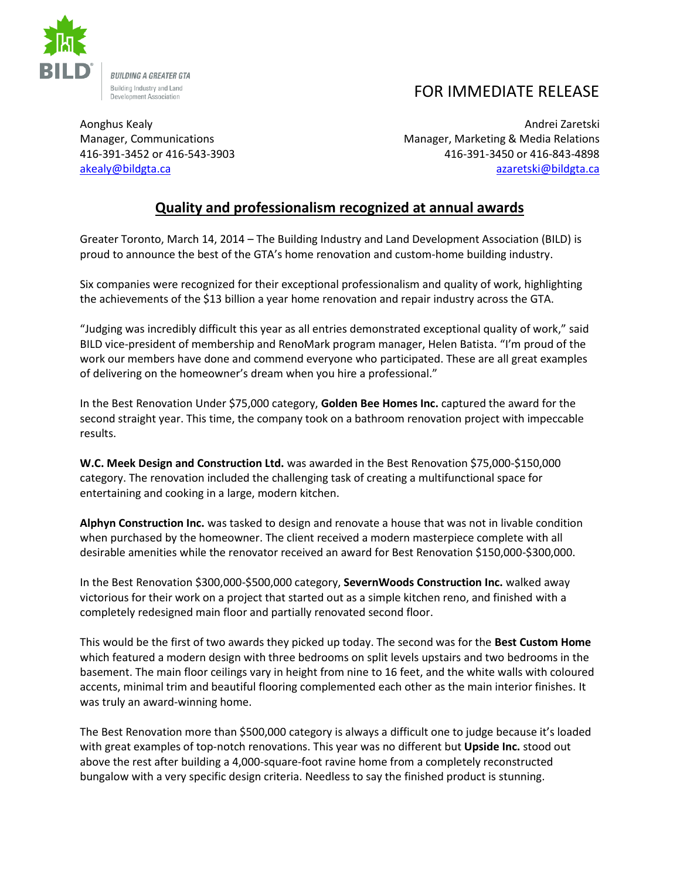

## FOR IMMEDIATE RELEASE

Aonghus Kealy Andrei Zaretski Manager, Communications Manager, Marketing & Media Relations 416-391-3452 or 416-543-3903 416-391-3450 or 416-843-4898 [akealy@bildgta.ca](mailto:akealy@bildgta.ca) [azaretski@bildgta.ca](mailto:azaretski@bildgta.ca) 

## **Quality and professionalism recognized at annual awards**

Greater Toronto, March 14, 2014 – The Building Industry and Land Development Association (BILD) is proud to announce the best of the GTA's home renovation and custom-home building industry.

Six companies were recognized for their exceptional professionalism and quality of work, highlighting the achievements of the \$13 billion a year home renovation and repair industry across the GTA.

"Judging was incredibly difficult this year as all entries demonstrated exceptional quality of work," said BILD vice-president of membership and RenoMark program manager, Helen Batista. "I'm proud of the work our members have done and commend everyone who participated. These are all great examples of delivering on the homeowner's dream when you hire a professional."

In the Best Renovation Under \$75,000 category, **Golden Bee Homes Inc.** captured the award for the second straight year. This time, the company took on a bathroom renovation project with impeccable results.

**W.C. Meek Design and Construction Ltd.** was awarded in the Best Renovation \$75,000-\$150,000 category. The renovation included the challenging task of creating a multifunctional space for entertaining and cooking in a large, modern kitchen.

**Alphyn Construction Inc.** was tasked to design and renovate a house that was not in livable condition when purchased by the homeowner. The client received a modern masterpiece complete with all desirable amenities while the renovator received an award for Best Renovation \$150,000-\$300,000.

In the Best Renovation \$300,000-\$500,000 category, **SevernWoods Construction Inc.** walked away victorious for their work on a project that started out as a simple kitchen reno, and finished with a completely redesigned main floor and partially renovated second floor.

This would be the first of two awards they picked up today. The second was for the **Best Custom Home** which featured a modern design with three bedrooms on split levels upstairs and two bedrooms in the basement. The main floor ceilings vary in height from nine to 16 feet, and the white walls with coloured accents, minimal trim and beautiful flooring complemented each other as the main interior finishes. It was truly an award-winning home.

The Best Renovation more than \$500,000 category is always a difficult one to judge because it's loaded with great examples of top-notch renovations. This year was no different but **Upside Inc.** stood out above the rest after building a 4,000-square-foot ravine home from a completely reconstructed bungalow with a very specific design criteria. Needless to say the finished product is stunning.